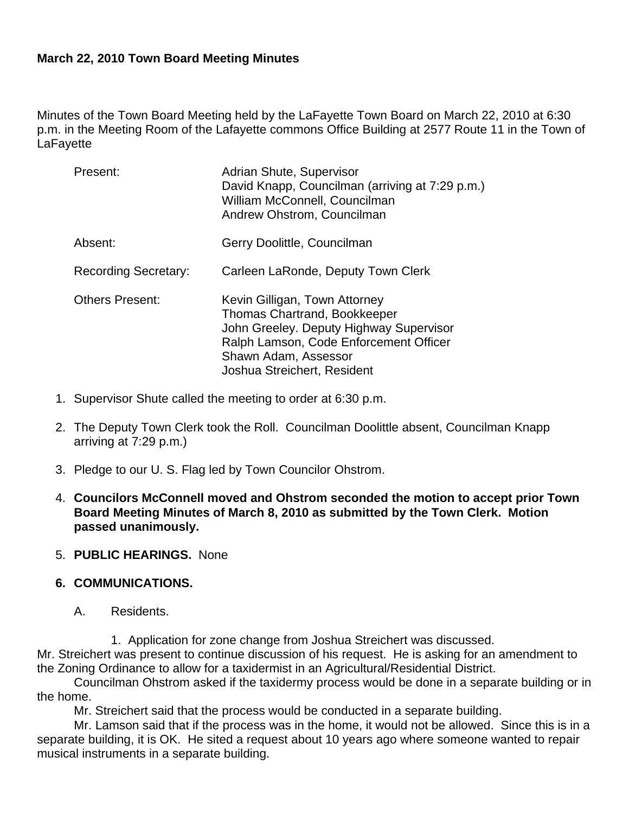### **March 22, 2010 Town Board Meeting Minutes**

Minutes of the Town Board Meeting held by the LaFayette Town Board on March 22, 2010 at 6:30 p.m. in the Meeting Room of the Lafayette commons Office Building at 2577 Route 11 in the Town of **LaFavette** 

| Present:                    | Adrian Shute, Supervisor<br>David Knapp, Councilman (arriving at 7:29 p.m.)<br>William McConnell, Councilman<br>Andrew Ohstrom, Councilman                                                                       |
|-----------------------------|------------------------------------------------------------------------------------------------------------------------------------------------------------------------------------------------------------------|
| Absent:                     | Gerry Doolittle, Councilman                                                                                                                                                                                      |
| <b>Recording Secretary:</b> | Carleen LaRonde, Deputy Town Clerk                                                                                                                                                                               |
| <b>Others Present:</b>      | Kevin Gilligan, Town Attorney<br><b>Thomas Chartrand, Bookkeeper</b><br>John Greeley. Deputy Highway Supervisor<br>Ralph Lamson, Code Enforcement Officer<br>Shawn Adam, Assessor<br>Joshua Streichert, Resident |

- 1. Supervisor Shute called the meeting to order at 6:30 p.m.
- 2. The Deputy Town Clerk took the Roll. Councilman Doolittle absent, Councilman Knapp arriving at 7:29 p.m.)
- 3. Pledge to our U. S. Flag led by Town Councilor Ohstrom.
- 4. **Councilors McConnell moved and Ohstrom seconded the motion to accept prior Town Board Meeting Minutes of March 8, 2010 as submitted by the Town Clerk. Motion passed unanimously.**

#### 5. **PUBLIC HEARINGS.** None

#### **6. COMMUNICATIONS.**

A. Residents.

1. Application for zone change from Joshua Streichert was discussed. Mr. Streichert was present to continue discussion of his request. He is asking for an amendment to the Zoning Ordinance to allow for a taxidermist in an Agricultural/Residential District.

Councilman Ohstrom asked if the taxidermy process would be done in a separate building or in the home.

Mr. Streichert said that the process would be conducted in a separate building.

Mr. Lamson said that if the process was in the home, it would not be allowed. Since this is in a separate building, it is OK. He sited a request about 10 years ago where someone wanted to repair musical instruments in a separate building.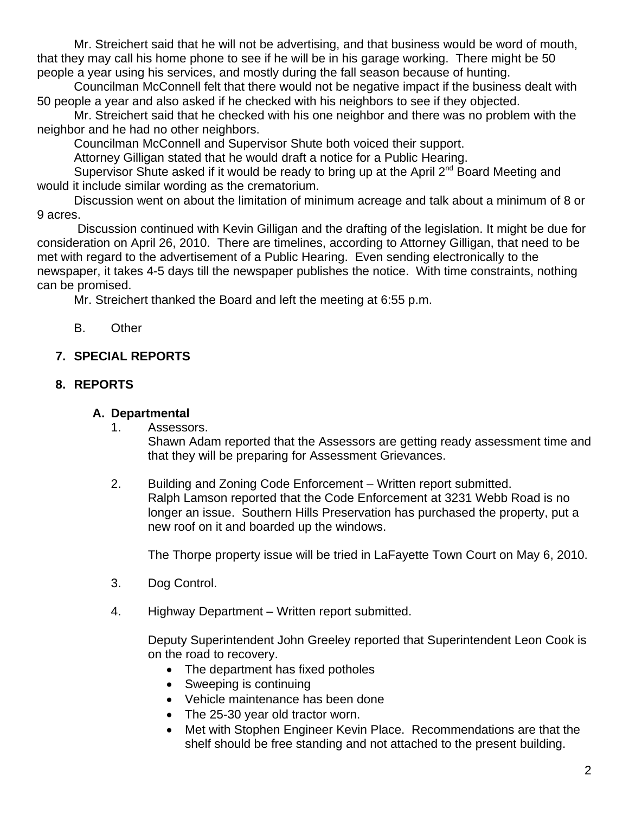Mr. Streichert said that he will not be advertising, and that business would be word of mouth, that they may call his home phone to see if he will be in his garage working. There might be 50 people a year using his services, and mostly during the fall season because of hunting.

Councilman McConnell felt that there would not be negative impact if the business dealt with 50 people a year and also asked if he checked with his neighbors to see if they objected.

Mr. Streichert said that he checked with his one neighbor and there was no problem with the neighbor and he had no other neighbors.

Councilman McConnell and Supervisor Shute both voiced their support.

Attorney Gilligan stated that he would draft a notice for a Public Hearing.

Supervisor Shute asked if it would be ready to bring up at the April 2<sup>nd</sup> Board Meeting and would it include similar wording as the crematorium.

Discussion went on about the limitation of minimum acreage and talk about a minimum of 8 or 9 acres.

 Discussion continued with Kevin Gilligan and the drafting of the legislation. It might be due for consideration on April 26, 2010. There are timelines, according to Attorney Gilligan, that need to be met with regard to the advertisement of a Public Hearing. Even sending electronically to the newspaper, it takes 4-5 days till the newspaper publishes the notice. With time constraints, nothing can be promised.

Mr. Streichert thanked the Board and left the meeting at 6:55 p.m.

B. Other

# **7. SPECIAL REPORTS**

## **8. REPORTS**

### **A. Departmental**

1. Assessors.

Shawn Adam reported that the Assessors are getting ready assessment time and that they will be preparing for Assessment Grievances.

2. Building and Zoning Code Enforcement – Written report submitted. Ralph Lamson reported that the Code Enforcement at 3231 Webb Road is no longer an issue. Southern Hills Preservation has purchased the property, put a new roof on it and boarded up the windows.

The Thorpe property issue will be tried in LaFayette Town Court on May 6, 2010.

- 3. Dog Control.
- 4. Highway Department Written report submitted.

Deputy Superintendent John Greeley reported that Superintendent Leon Cook is on the road to recovery.

- The department has fixed potholes
- Sweeping is continuing
- Vehicle maintenance has been done
- The 25-30 year old tractor worn.
- Met with Stophen Engineer Kevin Place. Recommendations are that the shelf should be free standing and not attached to the present building.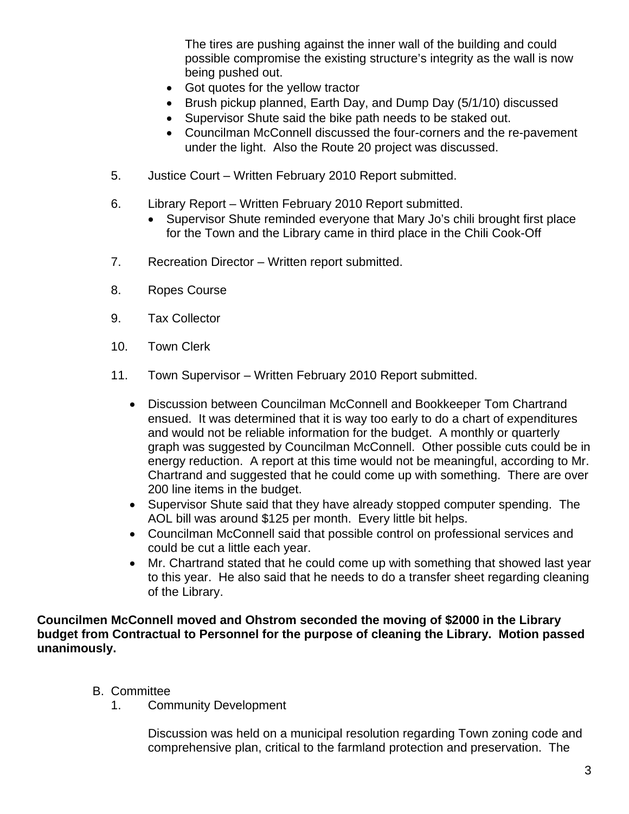The tires are pushing against the inner wall of the building and could possible compromise the existing structure's integrity as the wall is now being pushed out.

- Got quotes for the yellow tractor
- Brush pickup planned, Earth Day, and Dump Day (5/1/10) discussed
- Supervisor Shute said the bike path needs to be staked out.
- Councilman McConnell discussed the four-corners and the re-pavement under the light. Also the Route 20 project was discussed.
- 5. Justice Court Written February 2010 Report submitted.
- 6. Library Report Written February 2010 Report submitted.
	- Supervisor Shute reminded everyone that Mary Jo's chili brought first place for the Town and the Library came in third place in the Chili Cook-Off
- 7. Recreation Director Written report submitted.
- 8. Ropes Course
- 9. Tax Collector
- 10. Town Clerk
- 11. Town Supervisor Written February 2010 Report submitted.
	- Discussion between Councilman McConnell and Bookkeeper Tom Chartrand ensued. It was determined that it is way too early to do a chart of expenditures and would not be reliable information for the budget. A monthly or quarterly graph was suggested by Councilman McConnell. Other possible cuts could be in energy reduction. A report at this time would not be meaningful, according to Mr. Chartrand and suggested that he could come up with something. There are over 200 line items in the budget.
	- Supervisor Shute said that they have already stopped computer spending. The AOL bill was around \$125 per month. Every little bit helps.
	- Councilman McConnell said that possible control on professional services and could be cut a little each year.
	- Mr. Chartrand stated that he could come up with something that showed last year to this year. He also said that he needs to do a transfer sheet regarding cleaning of the Library.

**Councilmen McConnell moved and Ohstrom seconded the moving of \$2000 in the Library budget from Contractual to Personnel for the purpose of cleaning the Library. Motion passed unanimously.**

- B. Committee
	- 1. Community Development

Discussion was held on a municipal resolution regarding Town zoning code and comprehensive plan, critical to the farmland protection and preservation. The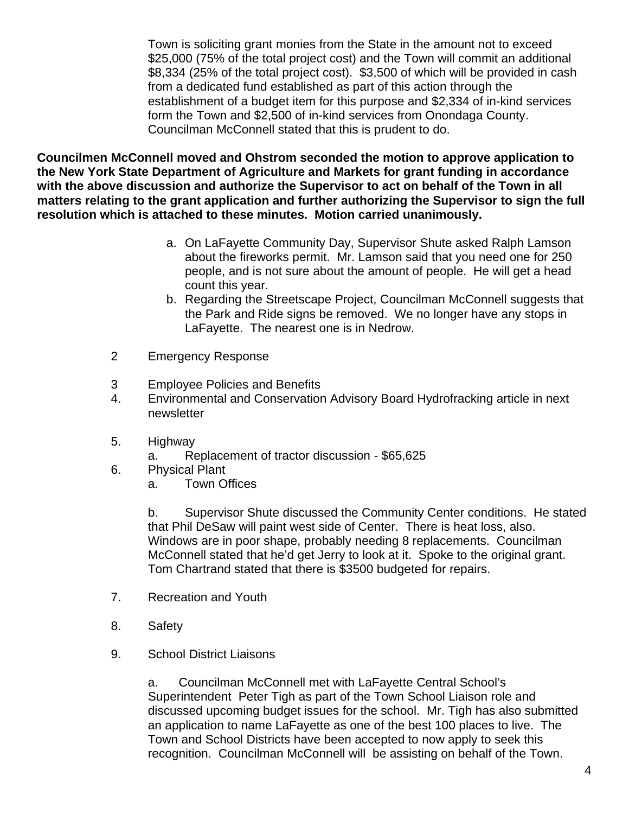Town is soliciting grant monies from the State in the amount not to exceed \$25,000 (75% of the total project cost) and the Town will commit an additional \$8,334 (25% of the total project cost). \$3,500 of which will be provided in cash from a dedicated fund established as part of this action through the establishment of a budget item for this purpose and \$2,334 of in-kind services form the Town and \$2,500 of in-kind services from Onondaga County. Councilman McConnell stated that this is prudent to do.

**Councilmen McConnell moved and Ohstrom seconded the motion to approve application to the New York State Department of Agriculture and Markets for grant funding in accordance with the above discussion and authorize the Supervisor to act on behalf of the Town in all matters relating to the grant application and further authorizing the Supervisor to sign the full resolution which is attached to these minutes. Motion carried unanimously.**

- a. On LaFayette Community Day, Supervisor Shute asked Ralph Lamson about the fireworks permit. Mr. Lamson said that you need one for 250 people, and is not sure about the amount of people. He will get a head count this year.
- b. Regarding the Streetscape Project, Councilman McConnell suggests that the Park and Ride signs be removed. We no longer have any stops in LaFayette. The nearest one is in Nedrow.
- 2 Emergency Response
- 3 Employee Policies and Benefits
- 4. Environmental and Conservation Advisory Board Hydrofracking article in next newsletter
- 5. Highway
	- a. Replacement of tractor discussion \$65,625
- 6. Physical Plant
	- a. Town Offices

b. Supervisor Shute discussed the Community Center conditions. He stated that Phil DeSaw will paint west side of Center. There is heat loss, also. Windows are in poor shape, probably needing 8 replacements. Councilman McConnell stated that he'd get Jerry to look at it. Spoke to the original grant. Tom Chartrand stated that there is \$3500 budgeted for repairs.

- 7. Recreation and Youth
- 8. Safety
- 9. School District Liaisons

a. Councilman McConnell met with LaFayette Central School's Superintendent Peter Tigh as part of the Town School Liaison role and discussed upcoming budget issues for the school. Mr. Tigh has also submitted an application to name LaFayette as one of the best 100 places to live. The Town and School Districts have been accepted to now apply to seek this recognition. Councilman McConnell will be assisting on behalf of the Town.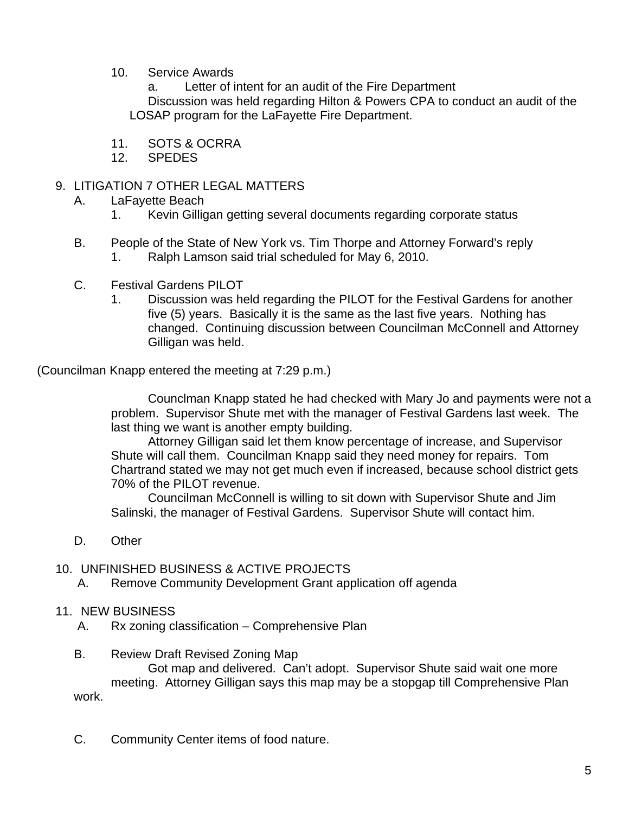10. Service Awards

a. Letter of intent for an audit of the Fire Department

Discussion was held regarding Hilton & Powers CPA to conduct an audit of the LOSAP program for the LaFayette Fire Department.

- 11. SOTS & OCRRA
- 12. SPEDES

#### 9. LITIGATION 7 OTHER LEGAL MATTERS

- A. LaFayette Beach
	- 1. Kevin Gilligan getting several documents regarding corporate status
- B. People of the State of New York vs. Tim Thorpe and Attorney Forward's reply 1. Ralph Lamson said trial scheduled for May 6, 2010.
- C. Festival Gardens PILOT
	- 1. Discussion was held regarding the PILOT for the Festival Gardens for another five (5) years. Basically it is the same as the last five years. Nothing has changed. Continuing discussion between Councilman McConnell and Attorney Gilligan was held.

(Councilman Knapp entered the meeting at 7:29 p.m.)

Counclman Knapp stated he had checked with Mary Jo and payments were not a problem. Supervisor Shute met with the manager of Festival Gardens last week. The last thing we want is another empty building.

Attorney Gilligan said let them know percentage of increase, and Supervisor Shute will call them. Councilman Knapp said they need money for repairs. Tom Chartrand stated we may not get much even if increased, because school district gets 70% of the PILOT revenue.

Councilman McConnell is willing to sit down with Supervisor Shute and Jim Salinski, the manager of Festival Gardens. Supervisor Shute will contact him.

D. Other

#### 10. UNFINISHED BUSINESS & ACTIVE PROJECTS

- A. Remove Community Development Grant application off agenda
- 11. NEW BUSINESS
	- A. Rx zoning classification Comprehensive Plan
	- B. Review Draft Revised Zoning Map

Got map and delivered. Can't adopt. Supervisor Shute said wait one more meeting. Attorney Gilligan says this map may be a stopgap till Comprehensive Plan work.

C. Community Center items of food nature.